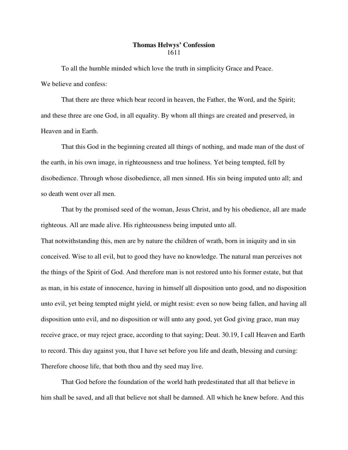## **Thomas Helwys' Confession** 1611

To all the humble minded which love the truth in simplicity Grace and Peace. We believe and confess:

That there are three which bear record in heaven, the Father, the Word, and the Spirit; and these three are one God, in all equality. By whom all things are created and preserved, in Heaven and in Earth.

That this God in the beginning created all things of nothing, and made man of the dust of the earth, in his own image, in righteousness and true holiness. Yet being tempted, fell by disobedience. Through whose disobedience, all men sinned. His sin being imputed unto all; and so death went over all men.

That by the promised seed of the woman, Jesus Christ, and by his obedience, all are made righteous. All are made alive. His righteousness being imputed unto all.

That notwithstanding this, men are by nature the children of wrath, born in iniquity and in sin conceived. Wise to all evil, but to good they have no knowledge. The natural man perceives not the things of the Spirit of God. And therefore man is not restored unto his former estate, but that as man, in his estate of innocence, having in himself all disposition unto good, and no disposition unto evil, yet being tempted might yield, or might resist: even so now being fallen, and having all disposition unto evil, and no disposition or will unto any good, yet God giving grace, man may receive grace, or may reject grace, according to that saying; Deut. 30.19, I call Heaven and Earth to record. This day against you, that I have set before you life and death, blessing and cursing: Therefore choose life, that both thou and thy seed may live.

That God before the foundation of the world hath predestinated that all that believe in him shall be saved, and all that believe not shall be damned. All which he knew before. And this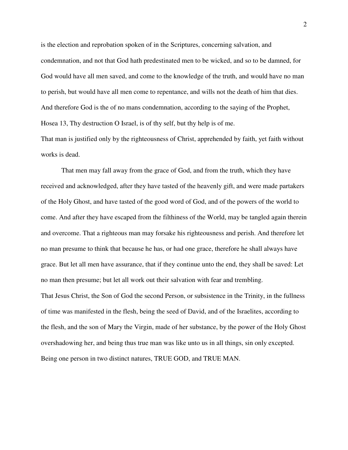is the election and reprobation spoken of in the Scriptures, concerning salvation, and condemnation, and not that God hath predestinated men to be wicked, and so to be damned, for God would have all men saved, and come to the knowledge of the truth, and would have no man to perish, but would have all men come to repentance, and wills not the death of him that dies. And therefore God is the of no mans condemnation, according to the saying of the Prophet, Hosea 13, Thy destruction O Israel, is of thy self, but thy help is of me.

That man is justified only by the righteousness of Christ, apprehended by faith, yet faith without works is dead.

That men may fall away from the grace of God, and from the truth, which they have received and acknowledged, after they have tasted of the heavenly gift, and were made partakers of the Holy Ghost, and have tasted of the good word of God, and of the powers of the world to come. And after they have escaped from the filthiness of the World, may be tangled again therein and overcome. That a righteous man may forsake his righteousness and perish. And therefore let no man presume to think that because he has, or had one grace, therefore he shall always have grace. But let all men have assurance, that if they continue unto the end, they shall be saved: Let no man then presume; but let all work out their salvation with fear and trembling. That Jesus Christ, the Son of God the second Person, or subsistence in the Trinity, in the fullness of time was manifested in the flesh, being the seed of David, and of the Israelites, according to the flesh, and the son of Mary the Virgin, made of her substance, by the power of the Holy Ghost overshadowing her, and being thus true man was like unto us in all things, sin only excepted. Being one person in two distinct natures, TRUE GOD, and TRUE MAN.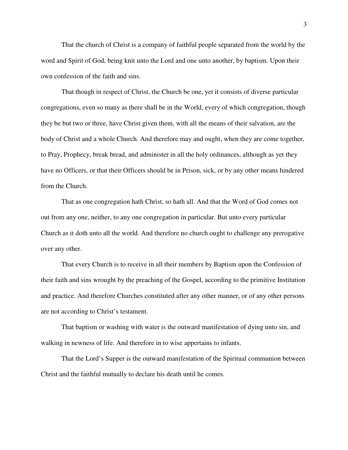That the church of Christ is a company of faithful people separated from the world by the word and Spirit of God, being knit unto the Lord and one unto another, by baptism. Upon their own confession of the faith and sins.

That though in respect of Christ, the Church be one, yet it consists of diverse particular congregations, even so many as there shall be in the World, every of which congregation, though they be but two or three, have Christ given them, with all the means of their salvation, are the body of Christ and a whole Church. And therefore may and ought, when they are come together, to Pray, Prophecy, break bread, and administer in all the holy ordinances, although as yet they have no Officers, or that their Officers should be in Prison, sick, or by any other means hindered from the Church.

That as one congregation hath Christ, so hath all. And that the Word of God comes not out from any one, neither, to any one congregation in particular. But unto every particular Church as it doth unto all the world. And therefore no church ought to challenge any prerogative over any other.

That every Church is to receive in all their members by Baptism upon the Confession of their faith and sins wrought by the preaching of the Gospel, according to the primitive Institution and practice. And therefore Churches constituted after any other manner, or of any other persons are not according to Christ's testament.

That baptism or washing with water is the outward manifestation of dying unto sin, and walking in newness of life. And therefore in to wise appertains to infants.

That the Lord's Supper is the outward manifestation of the Spiritual communion between Christ and the faithful mutually to declare his death until he comes.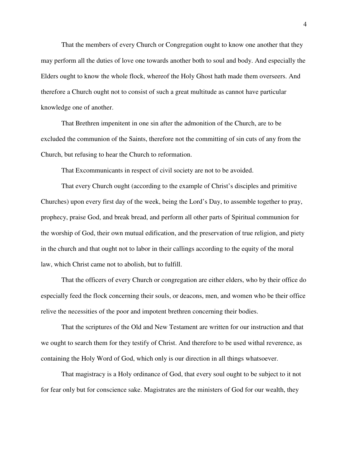That the members of every Church or Congregation ought to know one another that they may perform all the duties of love one towards another both to soul and body. And especially the Elders ought to know the whole flock, whereof the Holy Ghost hath made them overseers. And therefore a Church ought not to consist of such a great multitude as cannot have particular knowledge one of another.

That Brethren impenitent in one sin after the admonition of the Church, are to be excluded the communion of the Saints, therefore not the committing of sin cuts of any from the Church, but refusing to hear the Church to reformation.

That Excommunicants in respect of civil society are not to be avoided.

That every Church ought (according to the example of Christ's disciples and primitive Churches) upon every first day of the week, being the Lord's Day, to assemble together to pray, prophecy, praise God, and break bread, and perform all other parts of Spiritual communion for the worship of God, their own mutual edification, and the preservation of true religion, and piety in the church and that ought not to labor in their callings according to the equity of the moral law, which Christ came not to abolish, but to fulfill.

That the officers of every Church or congregation are either elders, who by their office do especially feed the flock concerning their souls, or deacons, men, and women who be their office relive the necessities of the poor and impotent brethren concerning their bodies.

That the scriptures of the Old and New Testament are written for our instruction and that we ought to search them for they testify of Christ. And therefore to be used withal reverence, as containing the Holy Word of God, which only is our direction in all things whatsoever.

That magistracy is a Holy ordinance of God, that every soul ought to be subject to it not for fear only but for conscience sake. Magistrates are the ministers of God for our wealth, they